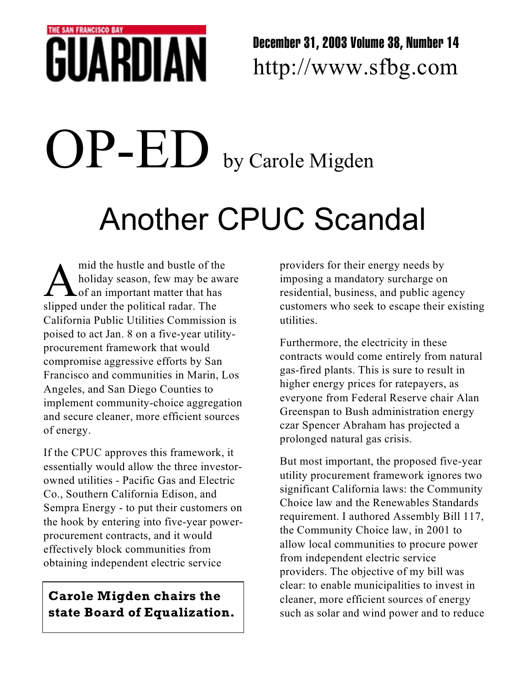## THE SAN FRANCISCO BAY GUARDI

December 31, 2003 Volume 38, Number 14 http://www.sfbg.com

## Another CPUC Scandal OP-ED by Carole Migden

mid the hustle and bustle of the holiday season, few may be a of the of an important matter that has slipped under the political radar. The mid the hustle and bustle of the holiday season, few may be aware of an important matter that has California Public Utilities Commission is poised to act Jan. 8 on a five-year utilityprocurement framework that would compromise aggressive efforts by San Francisco and communities in Marin, Los Angeles, and San Diego Counties to implement community-choice aggregation and secure cleaner, more efficient sources of energy.

If the CPUC approves this framework, it essentially would allow the three investorowned utilities - Pacific Gas and Electric Co., Southern California Edison, and Sempra Energy - to put their customers on the hook by entering into five-year powerprocurement contracts, and it would effectively block communities from obtaining independent electric service

## **Carole Migden chairs the state Board of Equalization.**

providers for their energy needs by imposing a mandatory surcharge on residential, business, and public agency customers who seek to escape their existing utilities.

Furthermore, the electricity in these contracts would come entirely from natural gas-fired plants. This is sure to result in higher energy prices for ratepayers, as everyone from Federal Reserve chair Alan Greenspan to Bush administration energy czar Spencer Abraham has projected a prolonged natural gas crisis.

But most important, the proposed five-year utility procurement framework ignores two significant California laws: the Community Choice law and the Renewables Standards requirement. I authored Assembly Bill 117, the Community Choice law, in 2001 to allow local communities to procure power from independent electric service providers. The objective of my bill was clear: to enable municipalities to invest in cleaner, more efficient sources of energy such as solar and wind power and to reduce